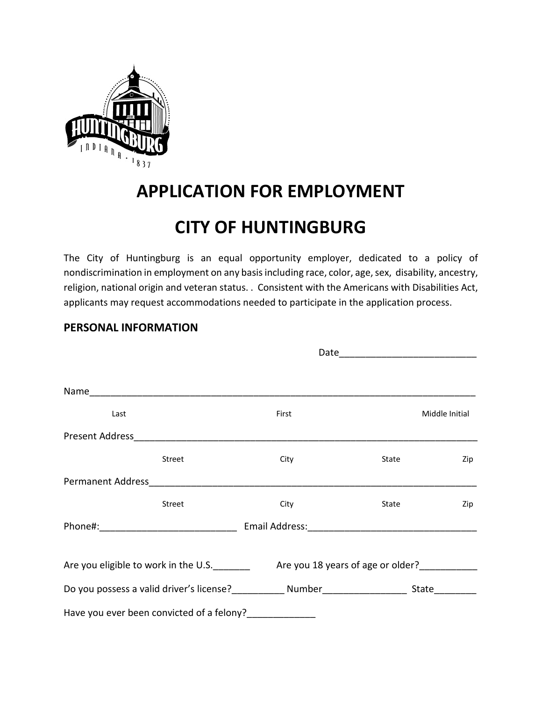

# **APPLICATION FOR EMPLOYMENT**

# **CITY OF HUNTINGBURG**

The City of Huntingburg is an equal opportunity employer, dedicated to a policy of nondiscrimination in employment on any basis including race, color, age, sex, disability, ancestry, religion, national origin and veteran status. . Consistent with the Americans with Disabilities Act, applicants may request accommodations needed to participate in the application process.

Date\_\_\_\_\_\_\_\_\_\_\_\_\_\_\_\_\_\_\_\_\_\_\_\_\_\_

#### **PERSONAL INFORMATION**

| Last |                                           | First                                                                                                         |       | Middle Initial |
|------|-------------------------------------------|---------------------------------------------------------------------------------------------------------------|-------|----------------|
|      |                                           |                                                                                                               |       |                |
|      | <b>Street</b>                             | City                                                                                                          | State | Zip            |
|      |                                           |                                                                                                               |       |                |
|      | <b>Street</b>                             | City                                                                                                          | State | Zip            |
|      |                                           | Email Address: 1997 - 1998 - 1999 - 1999 - 1999 - 1999 - 1999 - 1999 - 1999 - 1999 - 1999 - 1999 - 1999 - 199 |       |                |
|      |                                           | Are you eligible to work in the U.S. Are you 18 years of age or older?                                        |       |                |
|      |                                           |                                                                                                               |       |                |
|      | Have you ever been convicted of a felony? |                                                                                                               |       |                |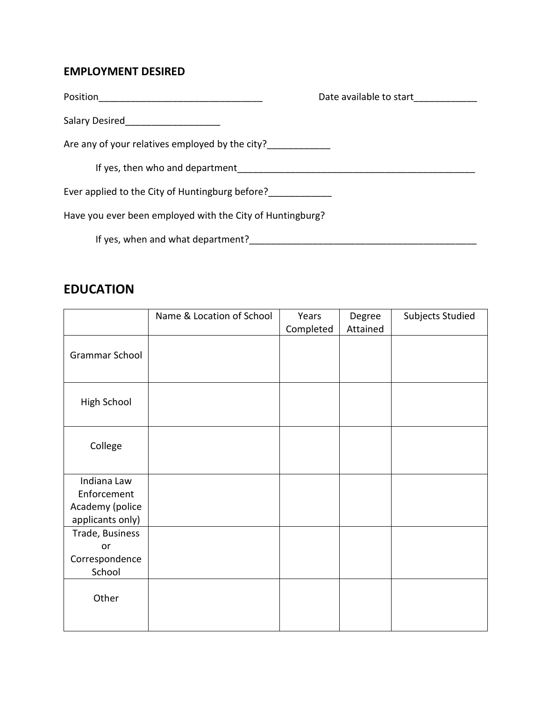#### **EMPLOYMENT DESIRED**

| Position                                                  | Date available to start |
|-----------------------------------------------------------|-------------------------|
| Salary Desired                                            |                         |
| Are any of your relatives employed by the city?           |                         |
| If yes, then who and department                           |                         |
| Ever applied to the City of Huntingburg before?           |                         |
| Have you ever been employed with the City of Huntingburg? |                         |
| If yes, when and what department?                         |                         |

### **EDUCATION**

|                                                                   | Name & Location of School | Years<br>Completed | Degree<br>Attained | Subjects Studied |
|-------------------------------------------------------------------|---------------------------|--------------------|--------------------|------------------|
| Grammar School                                                    |                           |                    |                    |                  |
| <b>High School</b>                                                |                           |                    |                    |                  |
| College                                                           |                           |                    |                    |                  |
| Indiana Law<br>Enforcement<br>Academy (police<br>applicants only) |                           |                    |                    |                  |
| Trade, Business<br>or<br>Correspondence<br>School                 |                           |                    |                    |                  |
| Other                                                             |                           |                    |                    |                  |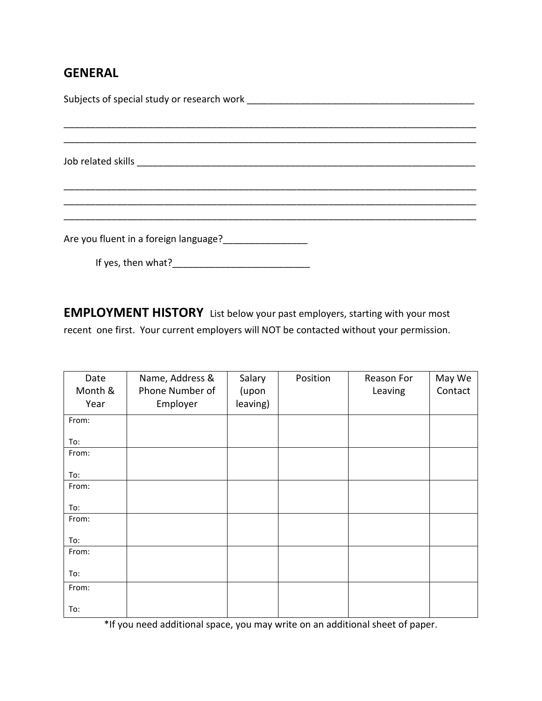## **GENERAL**

| Are you fluent in a foreign language?<br><u>Letter and the second of the second</u> state in a final state of the second state in the second state in the second |  |  |  |  |
|------------------------------------------------------------------------------------------------------------------------------------------------------------------|--|--|--|--|
| If yes, then what?                                                                                                                                               |  |  |  |  |

**EMPLOYMENT HISTORY** List below your past employers, starting with your most recent one first. Your current employers will NOT be contacted without your permission.

| Date    | Name, Address & | Salary   | Position | Reason For | May We  |
|---------|-----------------|----------|----------|------------|---------|
| Month & | Phone Number of | (upon    |          | Leaving    | Contact |
| Year    | Employer        | leaving) |          |            |         |
| From:   |                 |          |          |            |         |
| To:     |                 |          |          |            |         |
| From:   |                 |          |          |            |         |
| To:     |                 |          |          |            |         |
| From:   |                 |          |          |            |         |
| To:     |                 |          |          |            |         |
| From:   |                 |          |          |            |         |
| To:     |                 |          |          |            |         |
| From:   |                 |          |          |            |         |
| To:     |                 |          |          |            |         |
| From:   |                 |          |          |            |         |
| To:     |                 |          |          |            |         |

\*If you need additional space, you may write on an additional sheet of paper.